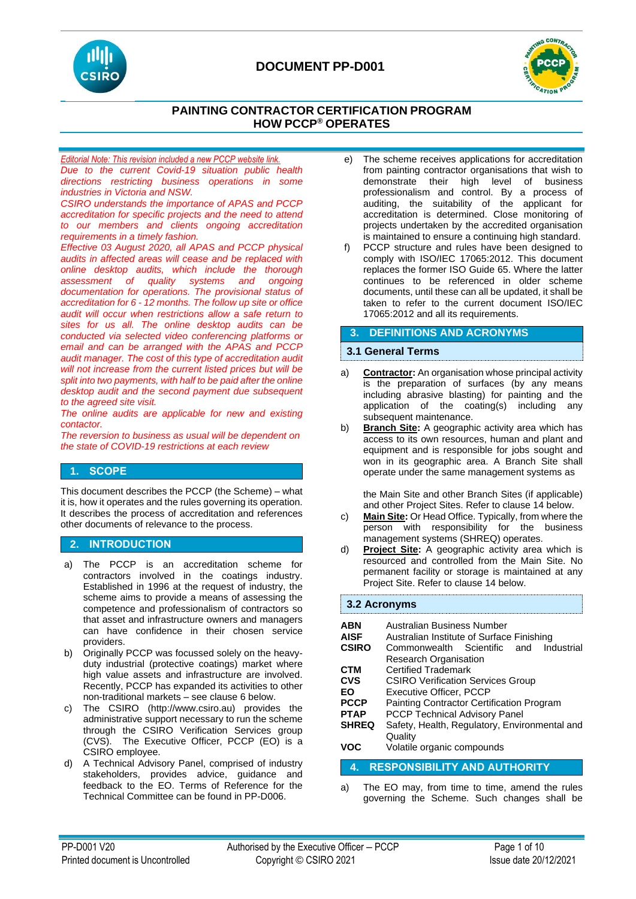



# **PAINTING CONTRACTOR CERTIFICATION PROGRAM HOW PCCP® OPERATES**

*Editorial Note: This revision included a new PCCP website link. Due to the current Covid-19 situation public health directions restricting business operations in some industries in Victoria and NSW.* 

*CSIRO understands the importance of APAS and PCCP accreditation for specific projects and the need to attend to our members and clients ongoing accreditation requirements in a timely fashion.*

*Effective 03 August 2020, all APAS and PCCP physical audits in affected areas will cease and be replaced with online desktop audits, which include the thorough assessment of quality systems and ongoing documentation for operations. The provisional status of accreditation for 6 - 12 months. The follow up site or office audit will occur when restrictions allow a safe return to sites for us all. The online desktop audits can be conducted via selected video conferencing platforms or email and can be arranged with the APAS and PCCP audit manager. The cost of this type of accreditation audit will not increase from the current listed prices but will be split into two payments, with half to be paid after the online desktop audit and the second payment due subsequent to the agreed site visit.*

*The online audits are applicable for new and existing contactor.*

*The reversion to business as usual will be dependent on the state of COVID-19 restrictions at each review*

## **1. SCOPE**

This document describes the PCCP (the Scheme) – what it is, how it operates and the rules governing its operation. It describes the process of accreditation and references other documents of relevance to the process.

# **2. INTRODUCTION**

- a) The PCCP is an accreditation scheme for contractors involved in the coatings industry. Established in 1996 at the request of industry, the scheme aims to provide a means of assessing the competence and professionalism of contractors so that asset and infrastructure owners and managers can have confidence in their chosen service providers.
- b) Originally PCCP was focussed solely on the heavyduty industrial (protective coatings) market where high value assets and infrastructure are involved. Recently, PCCP has expanded its activities to other non-traditional markets – see clause 6 below.
- c) The CSIRO (http://www.csiro.au) provides the administrative support necessary to run the scheme through the CSIRO Verification Services group (CVS). The Executive Officer, PCCP (EO) is a CSIRO employee.
- d) A Technical Advisory Panel, comprised of industry stakeholders, provides advice, guidance and feedback to the EO. Terms of Reference for the Technical Committee can be found in PP-D006.
- e) The scheme receives applications for accreditation from painting contractor organisations that wish to demonstrate their high level of business professionalism and control. By a process of auditing, the suitability of the applicant for accreditation is determined. Close monitoring of projects undertaken by the accredited organisation is maintained to ensure a continuing high standard.
- f) PCCP structure and rules have been designed to comply with ISO/IEC 17065:2012. This document replaces the former ISO Guide 65. Where the latter continues to be referenced in older scheme documents, until these can all be updated, it shall be taken to refer to the current document ISO/IEC 17065:2012 and all its requirements.

### **3. DEFINITIONS AND ACRONYMS**

### **3.1 General Terms**

- a) **Contractor:** An organisation whose principal activity is the preparation of surfaces (by any means including abrasive blasting) for painting and the application of the coating(s) including any subsequent maintenance.
- **Branch Site:** A geographic activity area which has access to its own resources, human and plant and equipment and is responsible for jobs sought and won in its geographic area. A Branch Site shall operate under the same management systems as

the Main Site and other Branch Sites (if applicable) and other Project Sites. Refer to clause 14 below.

- c) **Main Site:** Or Head Office. Typically, from where the person with responsibility for the business management systems (SHREQ) operates.
- d) **Project Site:** A geographic activity area which is resourced and controlled from the Main Site. No permanent facility or storage is maintained at any Project Site. Refer to clause 14 below.

#### **3.2 Acronyms**

| ABN<br><b>AISF</b>                  | Australian Business Number<br>Australian Institute of Surface Finishing |
|-------------------------------------|-------------------------------------------------------------------------|
| <b>CSIRO</b>                        | Industrial<br>Commonwealth Scientific and                               |
|                                     | <b>Research Organisation</b>                                            |
| <b>CTM</b>                          | <b>Certified Trademark</b>                                              |
| <b>CVS</b>                          | <b>CSIRO Verification Services Group</b>                                |
| EΟ                                  | <b>Executive Officer, PCCP</b>                                          |
| <b>PCCP</b>                         | Painting Contractor Certification Program                               |
| <b>PTAP</b>                         | <b>PCCP Technical Advisory Panel</b>                                    |
| <b>SHREQ</b>                        | Safety, Health, Regulatory, Environmental and                           |
|                                     | Quality                                                                 |
| <b>VOC</b>                          | Volatile organic compounds                                              |
| <b>RESPONSIBILITY AND AUTHORITY</b> |                                                                         |

a) The EO may, from time to time, amend the rules governing the Scheme. Such changes shall be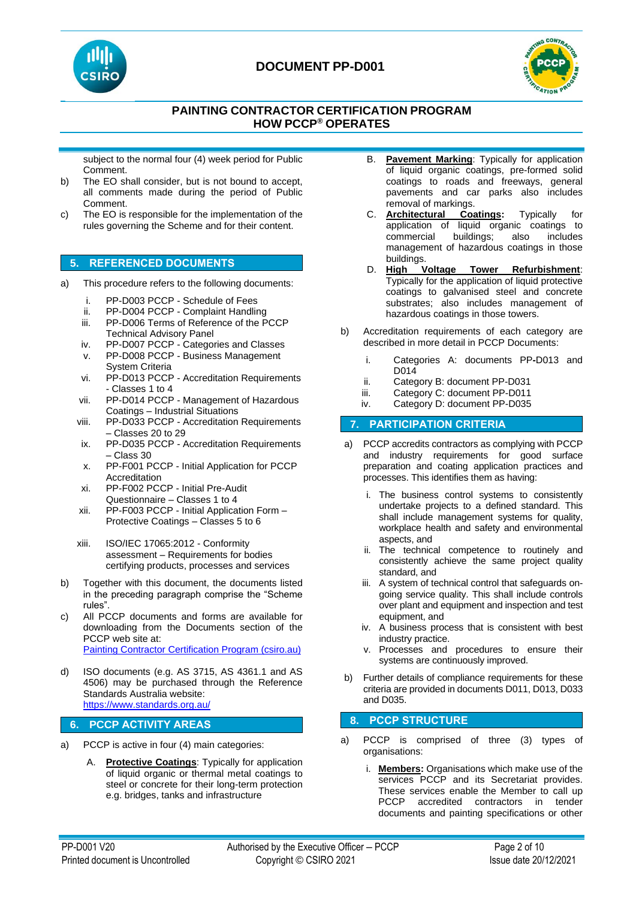



# **PAINTING CONTRACTOR CERTIFICATION PROGRAM HOW PCCP® OPERATES**

subject to the normal four (4) week period for Public Comment.

- b) The EO shall consider, but is not bound to accept, all comments made during the period of Public Comment.
- c) The EO is responsible for the implementation of the rules governing the Scheme and for their content.

## **5. REFERENCED DOCUMENTS**

- a) This procedure refers to the following documents:
	- i. PP-D003 PCCP Schedule of Fees
	- ii. PP-D004 PCCP Complaint Handling
	- iii. PP-D006 Terms of Reference of the PCCP Technical Advisory Panel
	- iv. PP-D007 PCCP Categories and Classes
	- v. PP-D008 PCCP Business Management System Criteria
	- vi. PP-D013 PCCP Accreditation Requirements - Classes 1 to 4
	- vii. PP-D014 PCCP Management of Hazardous Coatings – Industrial Situations
	- viii. PP-D033 PCCP Accreditation Requirements – Classes 20 to 29
	- ix. PP-D035 PCCP Accreditation Requirements – Class 30
	- x. PP-F001 PCCP Initial Application for PCCP Accreditation
	- xi. PP-F002 PCCP Initial Pre-Audit Questionnaire – Classes 1 to 4
	- xii. PP-F003 PCCP Initial Application Form Protective Coatings – Classes 5 to 6
	- xiii. ISO/IEC 17065:2012 Conformity assessment – Requirements for bodies certifying products, processes and services
- b) Together with this document, the documents listed in the preceding paragraph comprise the "Scheme rules".
- c) All PCCP documents and forms are available for downloading from the Documents section of the PCCP web site at: [Painting Contractor Certification Program \(csiro.au\)](https://vs.csiro.au/pccp/)
- d) ISO documents (e.g. AS 3715, AS 4361.1 and AS 4506) may be purchased through the Reference Standards Australia website: <https://www.standards.org.au/>

## **6. PCCP ACTIVITY AREAS**

- PCCP is active in four (4) main categories:
	- A. **Protective Coatings**: Typically for application of liquid organic or thermal metal coatings to steel or concrete for their long-term protection e.g. bridges, tanks and infrastructure
- B. **Pavement Marking**: Typically for application of liquid organic coatings, pre-formed solid coatings to roads and freeways, general pavements and car parks also includes removal of markings.
- C. **Architectural Coatings:** Typically for application of liquid organic coatings to commercial buildings; also includes management of hazardous coatings in those buildings.
- D. **High Voltage Tower Refurbishment**: Typically for the application of liquid protective coatings to galvanised steel and concrete substrates; also includes management of hazardous coatings in those towers.
- b) Accreditation requirements of each category are described in more detail in PCCP Documents:
	- i. Categories A: documents PP**-**D013 and D014
	- ii. Category B: document PP-D031
	- iii. Category C: document PP-D011
	- iv. Category D: document PP-D035

## **7. PARTICIPATION CRITERIA**

- a) PCCP accredits contractors as complying with PCCP and industry requirements for good surface preparation and coating application practices and processes. This identifies them as having:
	- i. The business control systems to consistently undertake projects to a defined standard. This shall include management systems for quality, workplace health and safety and environmental aspects, and
	- ii. The technical competence to routinely and consistently achieve the same project quality standard, and
	- iii. A system of technical control that safeguards ongoing service quality. This shall include controls over plant and equipment and inspection and test equipment, and
	- iv. A business process that is consistent with best industry practice.
	- v. Processes and procedures to ensure their systems are continuously improved.
- b) Further details of compliance requirements for these criteria are provided in documents D011, D013, D033 and D035.

## **8. PCCP STRUCTURE**

- a) PCCP is comprised of three (3) types of organisations:
	- i. **Members:** Organisations which make use of the services PCCP and its Secretariat provides. These services enable the Member to call up PCCP accredited contractors in tender documents and painting specifications or other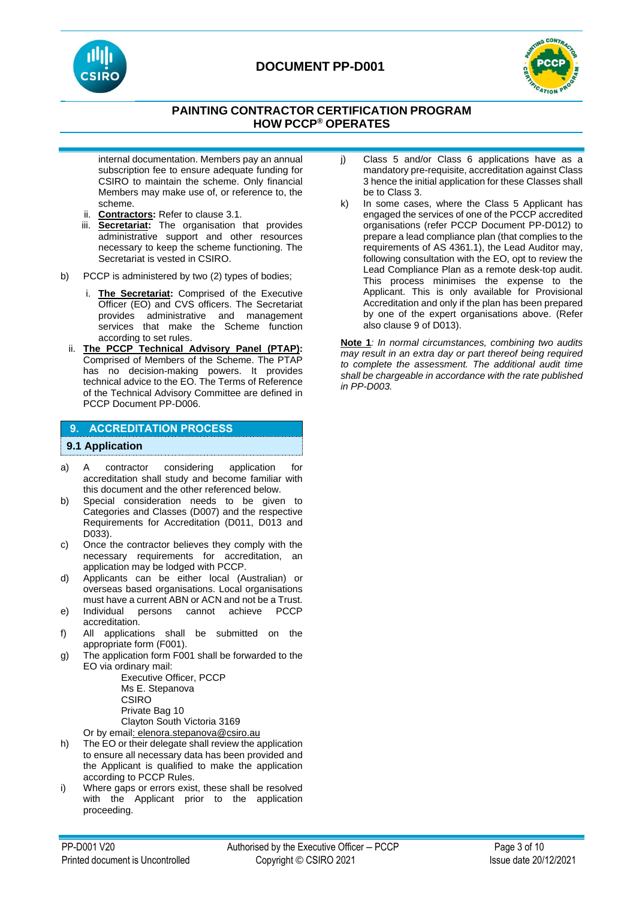



# **PAINTING CONTRACTOR CERTIFICATION PROGRAM HOW PCCP® OPERATES**

internal documentation. Members pay an annual subscription fee to ensure adequate funding for CSIRO to maintain the scheme. Only financial Members may make use of, or reference to, the scheme.

- ii. **Contractors:** Refer to clause 3.1.
- iii. **Secretariat:** The organisation that provides administrative support and other resources necessary to keep the scheme functioning. The Secretariat is vested in CSIRO.
- b) PCCP is administered by two (2) types of bodies;
	- i. **The Secretariat:** Comprised of the Executive Officer (EO) and CVS officers. The Secretariat provides administrative and management services that make the Scheme function according to set rules.
	- ii. **The PCCP Technical Advisory Panel (PTAP):** Comprised of Members of the Scheme. The PTAP has no decision-making powers. It provides technical advice to the EO. The Terms of Reference of the Technical Advisory Committee are defined in PCCP Document PP-D006.

## **9. ACCREDITATION PROCESS**

#### **9.1 Application**

- a) A contractor considering application for accreditation shall study and become familiar with this document and the other referenced below.
- b) Special consideration needs to be given to Categories and Classes (D007) and the respective Requirements for Accreditation (D011, D013 and D033).
- c) Once the contractor believes they comply with the necessary requirements for accreditation, an application may be lodged with PCCP.
- d) Applicants can be either local (Australian) or overseas based organisations. Local organisations must have a current ABN or ACN and not be a Trust.
- e) Individual persons cannot achieve PCCP accreditation.
- f) All applications shall be submitted on the appropriate form (F001).
- g) The application form F001 shall be forwarded to the EO via ordinary mail:

Executive Officer, PCCP Ms E. Stepanova **CSIRO** Private Bag 10 Clayton South Victoria 3169

- Or by email: elenora.stepanova@csiro.au
- h) The EO or their delegate shall review the application to ensure all necessary data has been provided and the Applicant is qualified to make the application according to PCCP Rules.
- i) Where gaps or errors exist, these shall be resolved with the Applicant prior to the application proceeding.
- j) Class 5 and/or Class 6 applications have as a mandatory pre-requisite, accreditation against Class 3 hence the initial application for these Classes shall be to Class 3.
- k) In some cases, where the Class 5 Applicant has engaged the services of one of the PCCP accredited organisations (refer PCCP Document PP-D012) to prepare a lead compliance plan (that complies to the requirements of AS 4361.1), the Lead Auditor may, following consultation with the EO, opt to review the Lead Compliance Plan as a remote desk-top audit. This process minimises the expense to the Applicant. This is only available for Provisional Accreditation and only if the plan has been prepared by one of the expert organisations above. (Refer also clause 9 of D013).

**Note 1***: In normal circumstances, combining two audits may result in an extra day or part thereof being required to complete the assessment. The additional audit time shall be chargeable in accordance with the rate published in PP-D003.*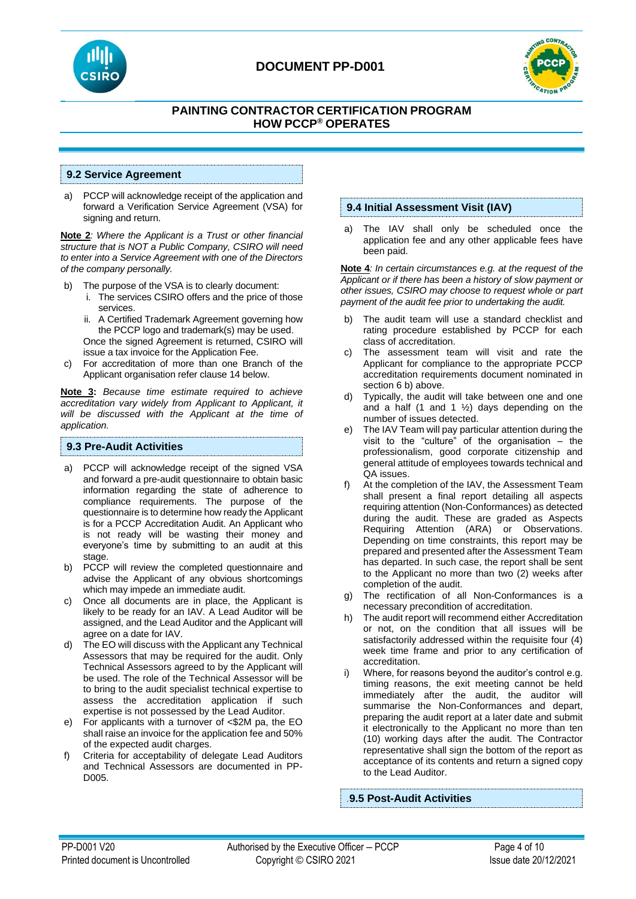



# **PAINTING CONTRACTOR CERTIFICATION PROGRAM HOW PCCP® OPERATES**

### **9.2 Service Agreement**

a) PCCP will acknowledge receipt of the application and forward a Verification Service Agreement (VSA) for signing and return.

**Note 2***: Where the Applicant is a Trust or other financial structure that is NOT a Public Company, CSIRO will need to enter into a Service Agreement with one of the Directors of the company personally.*

- b) The purpose of the VSA is to clearly document:
	- i. The services CSIRO offers and the price of those services.
	- ii. A Certified Trademark Agreement governing how the PCCP logo and trademark(s) may be used. Once the signed Agreement is returned, CSIRO will issue a tax invoice for the Application Fee.
- c) For accreditation of more than one Branch of the Applicant organisation refer clause 14 below.

**Note 3:** *Because time estimate required to achieve accreditation vary widely from Applicant to Applicant, it will be discussed with the Applicant at the time of application.*

### **9.3 Pre-Audit Activities**

- a) PCCP will acknowledge receipt of the signed VSA and forward a pre-audit questionnaire to obtain basic information regarding the state of adherence to compliance requirements. The purpose of the questionnaire is to determine how ready the Applicant is for a PCCP Accreditation Audit. An Applicant who is not ready will be wasting their money and everyone's time by submitting to an audit at this stage.
- b) PCCP will review the completed questionnaire and advise the Applicant of any obvious shortcomings which may impede an immediate audit.
- c) Once all documents are in place, the Applicant is likely to be ready for an IAV. A Lead Auditor will be assigned, and the Lead Auditor and the Applicant will agree on a date for IAV.
- d) The EO will discuss with the Applicant any Technical Assessors that may be required for the audit. Only Technical Assessors agreed to by the Applicant will be used. The role of the Technical Assessor will be to bring to the audit specialist technical expertise to assess the accreditation application if such expertise is not possessed by the Lead Auditor.
- e) For applicants with a turnover of <\$2M pa, the EO shall raise an invoice for the application fee and 50% of the expected audit charges.
- f) Criteria for acceptability of delegate Lead Auditors and Technical Assessors are documented in PP-D005.

## **9.4 Initial Assessment Visit (IAV)**

a) The IAV shall only be scheduled once the application fee and any other applicable fees have been paid.

**Note 4***: In certain circumstances e.g. at the request of the Applicant or if there has been a history of slow payment or other issues, CSIRO may choose to request whole or part payment of the audit fee prior to undertaking the audit.*

- b) The audit team will use a standard checklist and rating procedure established by PCCP for each class of accreditation.
- c) The assessment team will visit and rate the Applicant for compliance to the appropriate PCCP accreditation requirements document nominated in section 6 b) above.
- d) Typically, the audit will take between one and one and a half (1 and 1  $\frac{1}{2}$ ) days depending on the number of issues detected.
- e) The IAV Team will pay particular attention during the visit to the "culture" of the organisation – the professionalism, good corporate citizenship and general attitude of employees towards technical and QA issues.
- At the completion of the IAV, the Assessment Team shall present a final report detailing all aspects requiring attention (Non-Conformances) as detected during the audit. These are graded as Aspects Requiring Attention (ARA) or Observations. Depending on time constraints, this report may be prepared and presented after the Assessment Team has departed. In such case, the report shall be sent to the Applicant no more than two (2) weeks after completion of the audit.
- g) The rectification of all Non-Conformances is a necessary precondition of accreditation.
- h) The audit report will recommend either Accreditation or not, on the condition that all issues will be satisfactorily addressed within the requisite four (4) week time frame and prior to any certification of accreditation.
- i) Where, for reasons beyond the auditor's control e.g. timing reasons, the exit meeting cannot be held immediately after the audit, the auditor will summarise the Non-Conformances and depart, preparing the audit report at a later date and submit it electronically to the Applicant no more than ten (10) working days after the audit. The Contractor representative shall sign the bottom of the report as acceptance of its contents and return a signed copy to the Lead Auditor.

*.***9.5 Post-Audit Activities**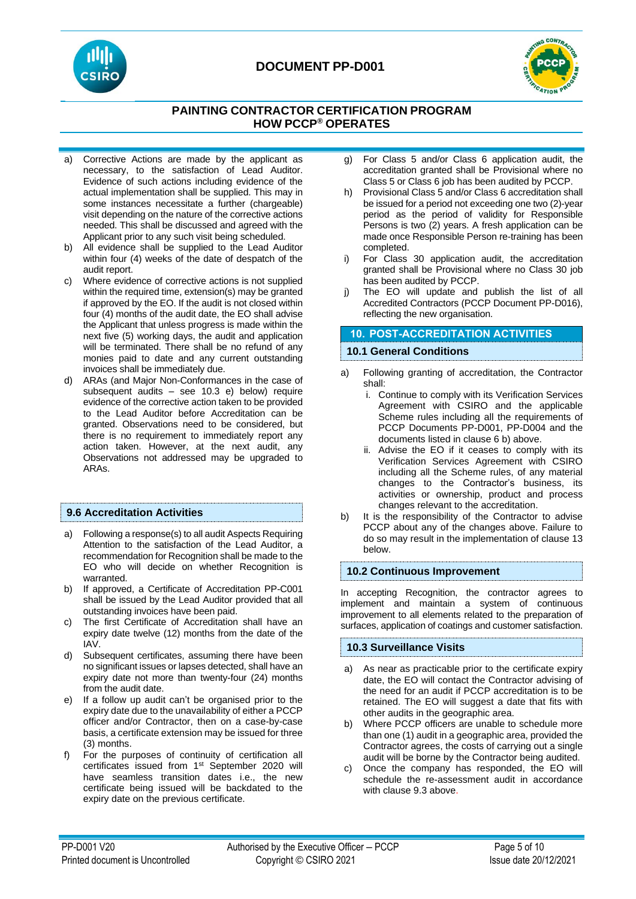



# **PAINTING CONTRACTOR CERTIFICATION PROGRAM HOW PCCP® OPERATES**

- a) Corrective Actions are made by the applicant as necessary, to the satisfaction of Lead Auditor. Evidence of such actions including evidence of the actual implementation shall be supplied. This may in some instances necessitate a further (chargeable) visit depending on the nature of the corrective actions needed. This shall be discussed and agreed with the Applicant prior to any such visit being scheduled.
- b) All evidence shall be supplied to the Lead Auditor within four (4) weeks of the date of despatch of the audit report.
- c) Where evidence of corrective actions is not supplied within the required time, extension(s) may be granted if approved by the EO. If the audit is not closed within four (4) months of the audit date, the EO shall advise the Applicant that unless progress is made within the next five (5) working days, the audit and application will be terminated. There shall be no refund of any monies paid to date and any current outstanding invoices shall be immediately due.
- d) ARAs (and Major Non-Conformances in the case of subsequent audits – see 10.3 e) below) require evidence of the corrective action taken to be provided to the Lead Auditor before Accreditation can be granted. Observations need to be considered, but there is no requirement to immediately report any action taken. However, at the next audit, any Observations not addressed may be upgraded to ARAs.

## **9.6 Accreditation Activities**

- a) Following a response(s) to all audit Aspects Requiring Attention to the satisfaction of the Lead Auditor, a recommendation for Recognition shall be made to the EO who will decide on whether Recognition is warranted.
- b) If approved, a Certificate of Accreditation PP-C001 shall be issued by the Lead Auditor provided that all outstanding invoices have been paid.
- c) The first Certificate of Accreditation shall have an expiry date twelve (12) months from the date of the IAV.
- d) Subsequent certificates, assuming there have been no significant issues or lapses detected, shall have an expiry date not more than twenty-four (24) months from the audit date.
- e) If a follow up audit can't be organised prior to the expiry date due to the unavailability of either a PCCP officer and/or Contractor, then on a case-by-case basis, a certificate extension may be issued for three (3) months.
- f) For the purposes of continuity of certification all certificates issued from 1st September 2020 will have seamless transition dates i.e., the new certificate being issued will be backdated to the expiry date on the previous certificate.
- g) For Class 5 and/or Class 6 application audit, the accreditation granted shall be Provisional where no Class 5 or Class 6 job has been audited by PCCP.
- h) Provisional Class 5 and/or Class 6 accreditation shall be issued for a period not exceeding one two (2)-year period as the period of validity for Responsible Persons is two (2) years. A fresh application can be made once Responsible Person re-training has been completed.
- i) For Class 30 application audit, the accreditation granted shall be Provisional where no Class 30 job has been audited by PCCP.
- j) The EO will update and publish the list of all Accredited Contractors (PCCP Document PP-D016), reflecting the new organisation.

## **10. POST-ACCREDITATION ACTIVITIES**

## **10.1 General Conditions**

- a) Following granting of accreditation, the Contractor shall:
	- i. Continue to comply with its Verification Services Agreement with CSIRO and the applicable Scheme rules including all the requirements of PCCP Documents PP-D001, PP-D004 and the documents listed in clause 6 b) above.
	- ii. Advise the EO if it ceases to comply with its Verification Services Agreement with CSIRO including all the Scheme rules, of any material changes to the Contractor's business, its activities or ownership, product and process changes relevant to the accreditation.
- b) It is the responsibility of the Contractor to advise PCCP about any of the changes above. Failure to do so may result in the implementation of clause 13 below.

## **10.2 Continuous Improvement**

In accepting Recognition, the contractor agrees to implement and maintain a system of continuous improvement to all elements related to the preparation of surfaces, application of coatings and customer satisfaction.

### **10.3 Surveillance Visits**

- a) As near as practicable prior to the certificate expiry date, the EO will contact the Contractor advising of the need for an audit if PCCP accreditation is to be retained. The EO will suggest a date that fits with other audits in the geographic area.
- b) Where PCCP officers are unable to schedule more than one (1) audit in a geographic area, provided the Contractor agrees, the costs of carrying out a single audit will be borne by the Contractor being audited.
- c) Once the company has responded, the EO will schedule the re-assessment audit in accordance with clause 9.3 above.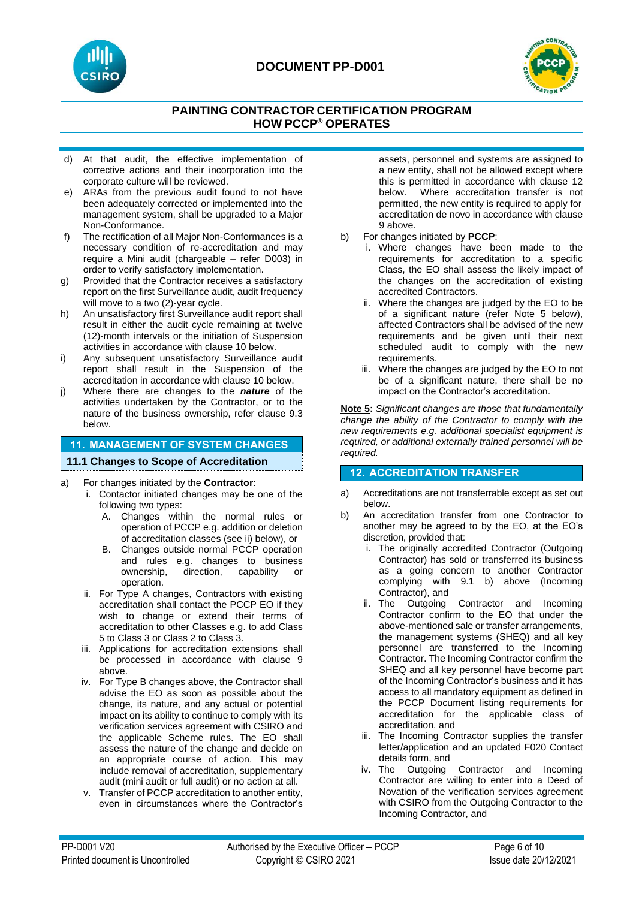



# **PAINTING CONTRACTOR CERTIFICATION PROGRAM HOW PCCP® OPERATES**

- d) At that audit, the effective implementation of corrective actions and their incorporation into the corporate culture will be reviewed.
- e) ARAs from the previous audit found to not have been adequately corrected or implemented into the management system, shall be upgraded to a Major Non-Conformance.
- f) The rectification of all Major Non-Conformances is a necessary condition of re-accreditation and may require a Mini audit (chargeable – refer D003) in order to verify satisfactory implementation.
- g) Provided that the Contractor receives a satisfactory report on the first Surveillance audit, audit frequency will move to a two (2)-year cycle.
- h) An unsatisfactory first Surveillance audit report shall result in either the audit cycle remaining at twelve (12)-month intervals or the initiation of Suspension activities in accordance with clause 10 below.
- i) Any subsequent unsatisfactory Surveillance audit report shall result in the Suspension of the accreditation in accordance with clause 10 below.
- j) Where there are changes to the *nature* of the activities undertaken by the Contractor, or to the nature of the business ownership, refer clause 9.3 below.

# **11. MANAGEMENT OF SYSTEM CHANGES**

## **11.1 Changes to Scope of Accreditation**

- a) For changes initiated by the **Contractor**:
	- i. Contactor initiated changes may be one of the following two types:
		- A. Changes within the normal rules or operation of PCCP e.g. addition or deletion of accreditation classes (see ii) below), or
		- B. Changes outside normal PCCP operation and rules e.g. changes to business ownership, direction, capability or operation.
		- ii. For Type A changes, Contractors with existing accreditation shall contact the PCCP EO if they wish to change or extend their terms of accreditation to other Classes e.g. to add Class 5 to Class 3 or Class 2 to Class 3.
	- iii. Applications for accreditation extensions shall be processed in accordance with clause 9 above.
	- iv. For Type B changes above, the Contractor shall advise the EO as soon as possible about the change, its nature, and any actual or potential impact on its ability to continue to comply with its verification services agreement with CSIRO and the applicable Scheme rules. The EO shall assess the nature of the change and decide on an appropriate course of action. This may include removal of accreditation, supplementary audit (mini audit or full audit) or no action at all.
	- v. Transfer of PCCP accreditation to another entity, even in circumstances where the Contractor's

assets, personnel and systems are assigned to a new entity, shall not be allowed except where this is permitted in accordance with clause 12 below. Where accreditation transfer is not permitted, the new entity is required to apply for accreditation de novo in accordance with clause 9 above.

- b) For changes initiated by **PCCP**:
	- i. Where changes have been made to the requirements for accreditation to a specific Class, the EO shall assess the likely impact of the changes on the accreditation of existing accredited Contractors.
	- ii. Where the changes are judged by the EO to be of a significant nature (refer Note 5 below), affected Contractors shall be advised of the new requirements and be given until their next scheduled audit to comply with the new requirements.
	- iii. Where the changes are judged by the EO to not be of a significant nature, there shall be no impact on the Contractor's accreditation.

**Note 5:** *Significant changes are those that fundamentally change the ability of the Contractor to comply with the new requirements e.g. additional specialist equipment is required, or additional externally trained personnel will be required.*

# **12. ACCREDITATION TRANSFER**

- a) Accreditations are not transferrable except as set out below.
- b) An accreditation transfer from one Contractor to another may be agreed to by the EO, at the EO's discretion, provided that:
	- i. The originally accredited Contractor (Outgoing Contractor) has sold or transferred its business as a going concern to another Contractor complying with 9.1 b) above (Incoming Contractor), and
	- ii. The Outgoing Contractor and Incoming Contractor confirm to the EO that under the above-mentioned sale or transfer arrangements, the management systems (SHEQ) and all key personnel are transferred to the Incoming Contractor. The Incoming Contractor confirm the SHEQ and all key personnel have become part of the Incoming Contractor's business and it has access to all mandatory equipment as defined in the PCCP Document listing requirements for accreditation for the applicable class of accreditation, and
	- iii. The Incoming Contractor supplies the transfer letter/application and an updated F020 Contact details form, and
	- iv. The Outgoing Contractor and Incoming Contractor are willing to enter into a Deed of Novation of the verification services agreement with CSIRO from the Outgoing Contractor to the Incoming Contractor, and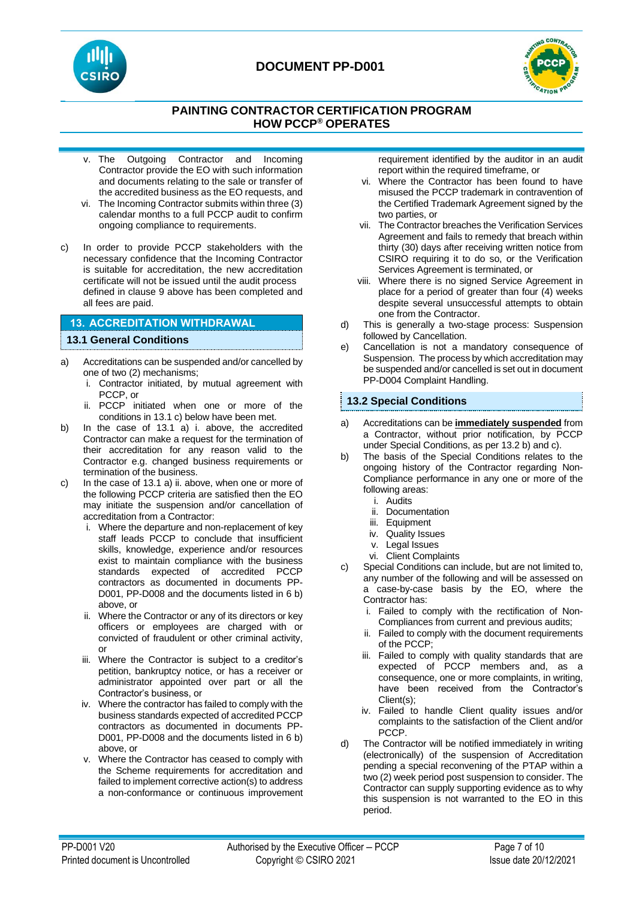



# **PAINTING CONTRACTOR CERTIFICATION PROGRAM HOW PCCP® OPERATES**

- v. The Outgoing Contractor and Incoming Contractor provide the EO with such information and documents relating to the sale or transfer of the accredited business as the EO requests, and
- vi. The Incoming Contractor submits within three (3) calendar months to a full PCCP audit to confirm ongoing compliance to requirements.
- c) In order to provide PCCP stakeholders with the necessary confidence that the Incoming Contractor is suitable for accreditation, the new accreditation certificate will not be issued until the audit process defined in clause 9 above has been completed and all fees are paid.

## **13. ACCREDITATION WITHDRAWAL**

## **13.1 General Conditions**

- a) Accreditations can be suspended and/or cancelled by one of two (2) mechanisms;
	- i. Contractor initiated, by mutual agreement with PCCP, or
	- ii. PCCP initiated when one or more of the conditions in 13.1 c) below have been met.
- b) In the case of 13.1 a) i. above, the accredited Contractor can make a request for the termination of their accreditation for any reason valid to the Contractor e.g. changed business requirements or termination of the business.
- c) In the case of 13.1 a) ii. above, when one or more of the following PCCP criteria are satisfied then the EO may initiate the suspension and/or cancellation of accreditation from a Contractor:
	- i. Where the departure and non-replacement of key staff leads PCCP to conclude that insufficient skills, knowledge, experience and/or resources exist to maintain compliance with the business standards expected of accredited PCCP contractors as documented in documents PP-D001, PP-D008 and the documents listed in 6 b) above, or
	- ii. Where the Contractor or any of its directors or key officers or employees are charged with or convicted of fraudulent or other criminal activity, or
	- iii. Where the Contractor is subject to a creditor's petition, bankruptcy notice, or has a receiver or administrator appointed over part or all the Contractor's business, or
	- iv. Where the contractor has failed to comply with the business standards expected of accredited PCCP contractors as documented in documents PP-D001, PP-D008 and the documents listed in 6 b) above, or
	- v. Where the Contractor has ceased to comply with the Scheme requirements for accreditation and failed to implement corrective action(s) to address a non-conformance or continuous improvement

requirement identified by the auditor in an audit report within the required timeframe, or

- vi. Where the Contractor has been found to have misused the PCCP trademark in contravention of the Certified Trademark Agreement signed by the two parties, or
- vii. The Contractor breaches the Verification Services Agreement and fails to remedy that breach within thirty (30) days after receiving written notice from CSIRO requiring it to do so, or the Verification Services Agreement is terminated, or
- viii. Where there is no signed Service Agreement in place for a period of greater than four (4) weeks despite several unsuccessful attempts to obtain one from the Contractor.
- d) This is generally a two-stage process: Suspension followed by Cancellation.
- e) Cancellation is not a mandatory consequence of Suspension. The process by which accreditation may be suspended and/or cancelled is set out in document PP-D004 Complaint Handling.

## **13.2 Special Conditions**

- a) Accreditations can be **immediately suspended** from a Contractor, without prior notification, by PCCP under Special Conditions, as per 13.2 b) and c).
- b) The basis of the Special Conditions relates to the ongoing history of the Contractor regarding Non-Compliance performance in any one or more of the following areas:
	- i. Audits
	- ii. Documentation
	- iii. Equipment
	- iv. Quality Issues
	- v. Legal Issues
	- vi. Client Complaints
- c) Special Conditions can include, but are not limited to, any number of the following and will be assessed on a case-by-case basis by the EO, where the Contractor has:
	- i. Failed to comply with the rectification of Non-Compliances from current and previous audits;
	- ii. Failed to comply with the document requirements of the PCCP;
	- iii. Failed to comply with quality standards that are expected of PCCP members and, as a consequence, one or more complaints, in writing, have been received from the Contractor's Client(s);
	- iv. Failed to handle Client quality issues and/or complaints to the satisfaction of the Client and/or PCCP.
- d) The Contractor will be notified immediately in writing (electronically) of the suspension of Accreditation pending a special reconvening of the PTAP within a two (2) week period post suspension to consider. The Contractor can supply supporting evidence as to why this suspension is not warranted to the EO in this period.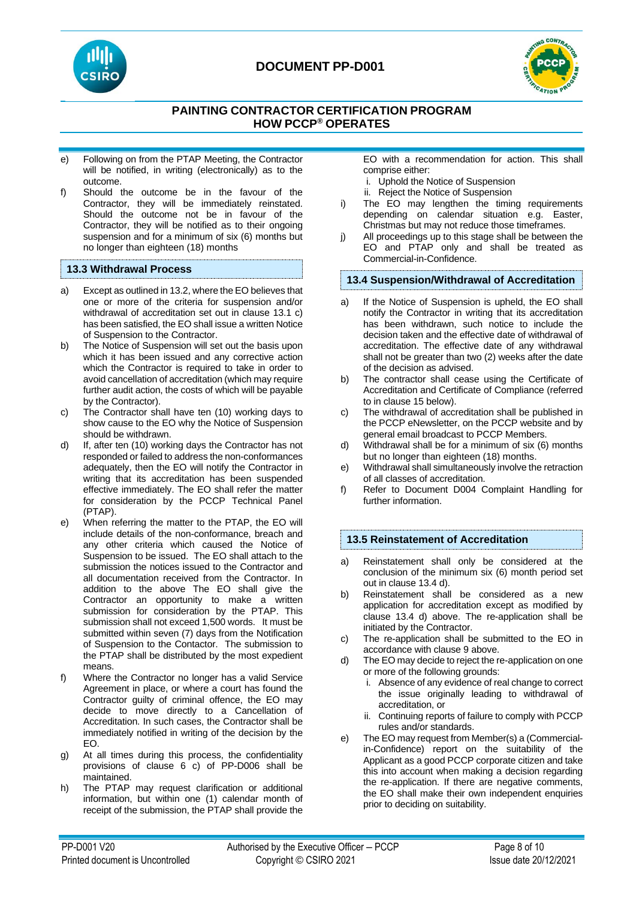



# **PAINTING CONTRACTOR CERTIFICATION PROGRAM HOW PCCP® OPERATES**

- e) Following on from the PTAP Meeting, the Contractor will be notified, in writing (electronically) as to the outcome.
- f) Should the outcome be in the favour of the Contractor, they will be immediately reinstated. Should the outcome not be in favour of the Contractor, they will be notified as to their ongoing suspension and for a minimum of six (6) months but no longer than eighteen (18) months

### **13.3 Withdrawal Process**

- a) Except as outlined in 13.2, where the EO believes that one or more of the criteria for suspension and/or withdrawal of accreditation set out in clause 13.1 c) has been satisfied, the EO shall issue a written Notice of Suspension to the Contractor.
- b) The Notice of Suspension will set out the basis upon which it has been issued and any corrective action which the Contractor is required to take in order to avoid cancellation of accreditation (which may require further audit action, the costs of which will be payable by the Contractor).
- c) The Contractor shall have ten (10) working days to show cause to the EO why the Notice of Suspension should be withdrawn.
- d) If, after ten (10) working days the Contractor has not responded or failed to address the non-conformances adequately, then the EO will notify the Contractor in writing that its accreditation has been suspended effective immediately. The EO shall refer the matter for consideration by the PCCP Technical Panel (PTAP).
- e) When referring the matter to the PTAP, the EO will include details of the non-conformance, breach and any other criteria which caused the Notice of Suspension to be issued. The EO shall attach to the submission the notices issued to the Contractor and all documentation received from the Contractor. In addition to the above The EO shall give the Contractor an opportunity to make a written submission for consideration by the PTAP. This submission shall not exceed 1,500 words. It must be submitted within seven (7) days from the Notification of Suspension to the Contactor. The submission to the PTAP shall be distributed by the most expedient means.
- f) Where the Contractor no longer has a valid Service Agreement in place, or where a court has found the Contractor guilty of criminal offence, the EO may decide to move directly to a Cancellation of Accreditation. In such cases, the Contractor shall be immediately notified in writing of the decision by the EO.
- g) At all times during this process, the confidentiality provisions of clause 6 c) of PP-D006 shall be maintained.
- h) The PTAP may request clarification or additional information, but within one (1) calendar month of receipt of the submission, the PTAP shall provide the

EO with a recommendation for action. This shall comprise either:

- i. Uphold the Notice of Suspension
- ii. Reject the Notice of Suspension
- i) The EO may lengthen the timing requirements depending on calendar situation e.g. Easter, Christmas but may not reduce those timeframes.
- j) All proceedings up to this stage shall be between the EO and PTAP only and shall be treated as Commercial-in-Confidence.

#### **13.4 Suspension/Withdrawal of Accreditation**

- a) If the Notice of Suspension is upheld, the EO shall notify the Contractor in writing that its accreditation has been withdrawn, such notice to include the decision taken and the effective date of withdrawal of accreditation. The effective date of any withdrawal shall not be greater than two (2) weeks after the date of the decision as advised.
- b) The contractor shall cease using the Certificate of Accreditation and Certificate of Compliance (referred to in clause 15 below).
- c) The withdrawal of accreditation shall be published in the PCCP eNewsletter, on the PCCP website and by general email broadcast to PCCP Members.
- d) Withdrawal shall be for a minimum of six (6) months but no longer than eighteen (18) months.
- e) Withdrawal shall simultaneously involve the retraction of all classes of accreditation.
- f) Refer to Document D004 Complaint Handling for further information.

#### **13.5 Reinstatement of Accreditation**

- a) Reinstatement shall only be considered at the conclusion of the minimum six (6) month period set out in clause 13.4 d).
- b) Reinstatement shall be considered as a new application for accreditation except as modified by clause 13.4 d) above. The re-application shall be initiated by the Contractor.
- c) The re-application shall be submitted to the EO in accordance with clause 9 above.
- d) The EO may decide to reject the re-application on one or more of the following grounds:
	- i. Absence of any evidence of real change to correct the issue originally leading to withdrawal of accreditation, or
	- ii. Continuing reports of failure to comply with PCCP rules and/or standards.
- e) The EO may request from Member(s) a (Commercialin-Confidence) report on the suitability of the Applicant as a good PCCP corporate citizen and take this into account when making a decision regarding the re-application. If there are negative comments, the EO shall make their own independent enquiries prior to deciding on suitability.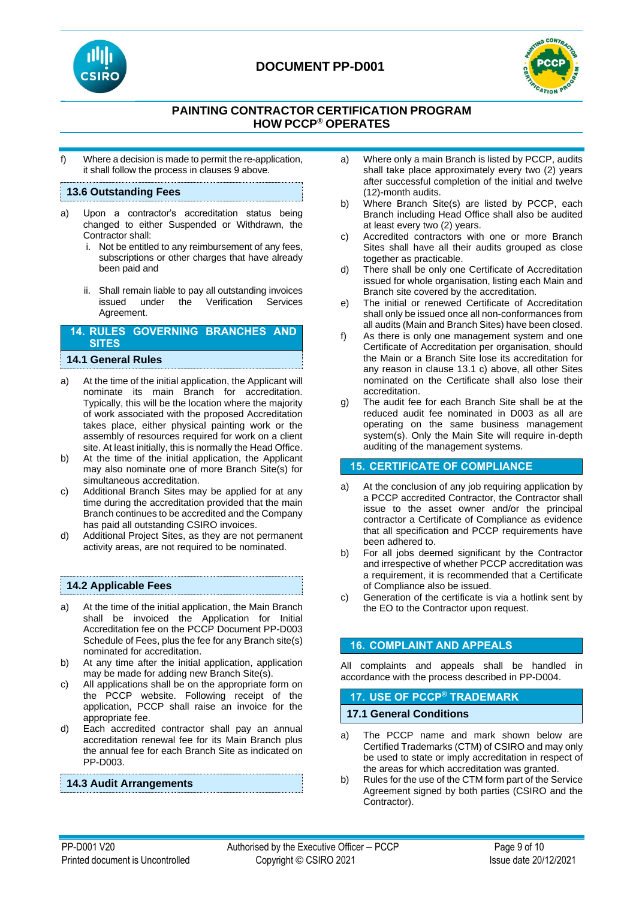



# **PAINTING CONTRACTOR CERTIFICATION PROGRAM HOW PCCP® OPERATES**

f) Where a decision is made to permit the re-application, it shall follow the process in clauses 9 above.

## **13.6 Outstanding Fees**

- a) Upon a contractor's accreditation status being changed to either Suspended or Withdrawn, the Contractor shall:
	- i. Not be entitled to any reimbursement of any fees, subscriptions or other charges that have already been paid and
	- ii. Shall remain liable to pay all outstanding invoices issued under the Verification Services Agreement.

### **14. RULES GOVERNING BRANCHES AND SITES**

#### **14.1 General Rules**

- a) At the time of the initial application, the Applicant will nominate its main Branch for accreditation. Typically, this will be the location where the majority of work associated with the proposed Accreditation takes place, either physical painting work or the assembly of resources required for work on a client site. At least initially, this is normally the Head Office.
- b) At the time of the initial application, the Applicant may also nominate one of more Branch Site(s) for simultaneous accreditation.
- c) Additional Branch Sites may be applied for at any time during the accreditation provided that the main Branch continues to be accredited and the Company has paid all outstanding CSIRO invoices.
- d) Additional Project Sites, as they are not permanent activity areas, are not required to be nominated.

## **14.2 Applicable Fees**

- a) At the time of the initial application, the Main Branch shall be invoiced the Application for Initial Accreditation fee on the PCCP Document PP-D003 Schedule of Fees, plus the fee for any Branch site(s) nominated for accreditation.
- b) At any time after the initial application, application may be made for adding new Branch Site(s).
- c) All applications shall be on the appropriate form on the PCCP website. Following receipt of the application, PCCP shall raise an invoice for the appropriate fee.
- d) Each accredited contractor shall pay an annual accreditation renewal fee for its Main Branch plus the annual fee for each Branch Site as indicated on PP-D003.

#### **14.3 Audit Arrangements**

- a) Where only a main Branch is listed by PCCP, audits shall take place approximately every two (2) years after successful completion of the initial and twelve (12)-month audits.
- b) Where Branch Site(s) are listed by PCCP, each Branch including Head Office shall also be audited at least every two (2) years.
- c) Accredited contractors with one or more Branch Sites shall have all their audits grouped as close together as practicable.
- d) There shall be only one Certificate of Accreditation issued for whole organisation, listing each Main and Branch site covered by the accreditation.
- e) The initial or renewed Certificate of Accreditation shall only be issued once all non-conformances from all audits (Main and Branch Sites) have been closed.
- f) As there is only one management system and one Certificate of Accreditation per organisation, should the Main or a Branch Site lose its accreditation for any reason in clause 13.1 c) above, all other Sites nominated on the Certificate shall also lose their accreditation.
- g) The audit fee for each Branch Site shall be at the reduced audit fee nominated in D003 as all are operating on the same business management system(s). Only the Main Site will require in-depth auditing of the management systems.

## **15. CERTIFICATE OF COMPLIANCE**

- a) At the conclusion of any job requiring application by a PCCP accredited Contractor, the Contractor shall issue to the asset owner and/or the principal contractor a Certificate of Compliance as evidence that all specification and PCCP requirements have been adhered to.
- b) For all jobs deemed significant by the Contractor and irrespective of whether PCCP accreditation was a requirement, it is recommended that a Certificate of Compliance also be issued.
- c) Generation of the certificate is via a hotlink sent by the EO to the Contractor upon request.

## **16. COMPLAINT AND APPEALS**

All complaints and appeals shall be handled in accordance with the process described in PP-D004.

#### **17. USE OF PCCP® TRADEMARK**

#### **17.1 General Conditions**

- a) The PCCP name and mark shown below are Certified Trademarks (CTM) of CSIRO and may only be used to state or imply accreditation in respect of the areas for which accreditation was granted.
- b) Rules for the use of the CTM form part of the Service Agreement signed by both parties (CSIRO and the Contractor).